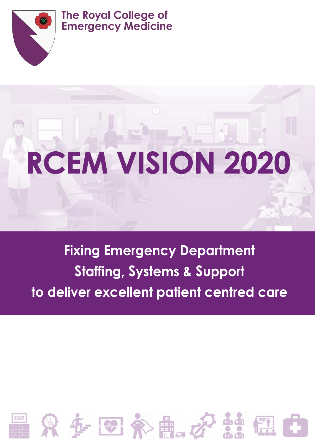

# **The Royal College of Emergency Medicine**

# **RCEM VISION 2020**

# **Fixing Emergency Department Staffing, Systems & Support** to deliver excellent patient centred care

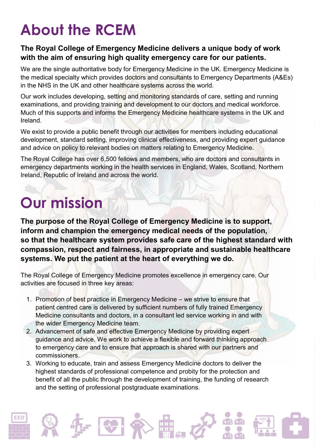# **About the RCEM**

### **The Royal College of Emergency Medicine delivers a unique body of work with the aim of ensuring high quality emergency care for our patients.**

We are the single authoritative body for Emergency Medicine in the UK. Emergency Medicine is the medical specialty which provides doctors and consultants to Emergency Departments (A&Es) in the NHS in the UK and other healthcare systems across the world.

Our work includes developing, setting and monitoring standards of care, setting and running examinations, and providing training and development to our doctors and medical workforce. Much of this supports and informs the Emergency Medicine healthcare systems in the UK and Ireland.

We exist to provide a public benefit through our activities for members including educational development, standard setting, improving clinical effectiveness, and providing expert guidance and advice on policy to relevant bodies on matters relating to Emergency Medicine.

The Royal College has over 6,500 fellows and members, who are doctors and consultants in emergency departments working in the health services in England, Wales, Scotland, Northern Ireland, Republic of Ireland and across the world.

# **Our mission**

**The purpose of the Royal College of Emergency Medicine is to support, inform and champion the emergency medical needs of the population, so that the healthcare system provides safe care of the highest standard with compassion, respect and fairness, in appropriate and sustainable healthcare systems. We put the patient at the heart of everything we do.**

The Royal College of Emergency Medicine promotes excellence in emergency care. Our activities are focused in three key areas:

- 1. Promotion of best practice in Emergency Medicine we strive to ensure that patient centred care is delivered by sufficient numbers of fully trained Emergency Medicine consultants and doctors, in a consultant led service working in and with the wider Emergency Medicine team.
- 2. Advancement of safe and effective Emergency Medicine by providing expert guidance and advice. We work to achieve a flexible and forward thinking approach to emergency care and to ensure that approach is shared with our partners and commissioners.
- 3. Working to educate, train and assess Emergency Medicine doctors to deliver the highest standards of professional competence and probity for the protection and benefit of all the public through the development of training, the funding of research and the setting of professional postgraduate examinations.







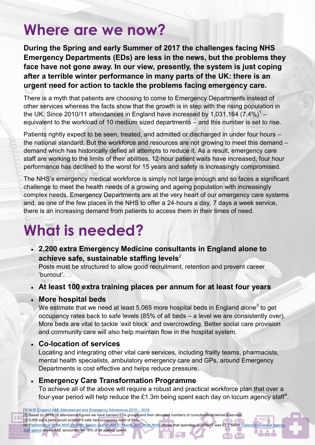# **Where are we now?**

**During the Spring and early Summer of 2017 the challenges facing NHS Emergency Departments (EDs) are less in the news, but the problems they face have not gone away. In our view, presently, the system is just coping after a terrible winter performance in many parts of the UK: there is an urgent need for action to tackle the problems facing emergency care.** 

There is a myth that patients are choosing to come to Emergency Departments instead of other services whereas the facts show that the growth is in step with the rising population in the UK. Since 2010/11 attendances in England have increased by 1,031,164 (7.4%)<sup>1</sup> – equivalent to the workload of 10 medium sized departments – and this number is set to rise.

Patients rightly expect to be seen, treated, and admitted or discharged in under four hours – the national standard. But the workforce and resources are not growing to meet this demand – demand which has historically defied all attempts to reduce it. As a result, emergency care staff are working to the limits of their abilities, 12-hour patient waits have increased, four hour performance has declined to the worst for 15 years and safety is increasingly compromised.

The NHS's emergency medical workforce is simply not large enough and so faces a significant challenge to meet the health needs of a growing and ageing population with increasingly complex needs. Emergency Departments are at the very heart of our emergency care systems and, as one of the few places in the NHS to offer a 24-hours a day, 7 days a week service, there is an increasing demand from patients to access them in their times of need.

# **What is needed?**

 **2,200 extra Emergency Medicine consultants in England alone to achieve safe, sustainable staffing levels**<sup>2</sup>

Posts must be structured to allow good recruitment, retention and prevent career 'burnout'.

**At least 100 extra training places per annum for at least four years**

### **More hospital beds**

We estimate that we need at least 5,065 more hospital beds in England alone<sup>3</sup> to get occupancy rates back to safe levels (85% of all beds – a level we are consistently over). More beds are vital to tackle 'exit block' and overcrowding. Better social care provision and community care will also help maintain flow in the hospital system.

### **Co-location of services**

Locating and integrating other vital care services, including frailty teams, pharmacists, mental health specialists, ambulatory emergency care and GPs, around Emergency Departments is cost effective and helps reduce pressure.

### **Emergency Care Transformation Programme**

To achieve all of the above will require a robust and practical workforce plan that over a four-year period will help reduce the £1.3m being spent each day on locum agency staff<sup>4</sup>.

<u>ila a a</u>

 $6060$ 

[3] 5,065 extra beds would achieve a safe bed occupancy level of 85%.

[4] ['Performance of the NHS Provider Sector year ended 31 March 2017' from NHSI](https://improvement.nhs.uk/uploads/documents/M12_201617_provider_sector_performance_report_-_Fin_Accts_-_FINAL.pdf) shows that spending in 2016/17 was £2.2 billion. Liaison's review of agency

[staff spend](http://liaison.co.uk/taking-temperature-annual-report-201617/) shows A&E accounted for 16% of all agency spend.

<sup>[1]</sup> [NHS England A&E Attendances and Emergency Admissions 2010 –](https://www.england.nhs.uk/statistics/statistical-work-areas/ae-waiting-times-and-activity/) 2016 [2] Based on 2015-16 attendance figures we have banded EDs groups and then allocated numbers of consultants to deliver a service.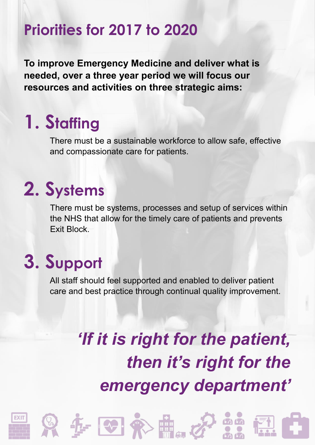# **Priorities for 2017 to 2020**

**To improve Emergency Medicine and deliver what is needed, over a three year period we will focus our resources and activities on three strategic aims:**

# **1. Staffing**

There must be a sustainable workforce to allow safe, effective and compassionate care for patients.

# **2. Systems**

There must be systems, processes and setup of services within the NHS that allow for the timely care of patients and prevents Exit Block.

# **3. Support**

All staff should feel supported and enabled to deliver patient care and best practice through continual quality improvement.

# *'If it is right for the patient, then it's right for the emergency department'*











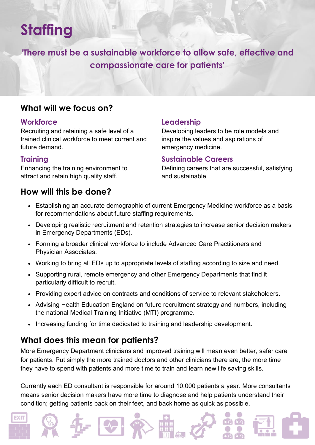# **Staffing**

**'There must be a sustainable workforce to allow safe, effective and compassionate care for patients'**

# **What will we focus on?**

#### **Workforce**

Recruiting and retaining a safe level of a trained clinical workforce to meet current and future demand.

### **Training**

EXIT

Enhancing the training environment to attract and retain high quality staff.

### **How will this be done?**

### **Leadership**

Developing leaders to be role models and inspire the values and aspirations of emergency medicine.

#### **Sustainable Careers**

Defining careers that are successful, satisfying and sustainable.

- Establishing an accurate demographic of current Emergency Medicine workforce as a basis for recommendations about future staffing requirements.
- Developing realistic recruitment and retention strategies to increase senior decision makers in Emergency Departments (EDs).
- Forming a broader clinical workforce to include Advanced Care Practitioners and Physician Associates.
- Working to bring all EDs up to appropriate levels of staffing according to size and need.
- Supporting rural, remote emergency and other Emergency Departments that find it particularly difficult to recruit.
- Providing expert advice on contracts and conditions of service to relevant stakeholders.
- Advising Health Education England on future recruitment strategy and numbers, including the national Medical Training Initiative (MTI) programme.
- Increasing funding for time dedicated to training and leadership development.

# **What does this mean for patients?**

More Emergency Department clinicians and improved training will mean even better, safer care for patients. Put simply the more trained doctors and other clinicians there are, the more time they have to spend with patients and more time to train and learn new life saving skills.

Currently each ED consultant is responsible for around 10,000 patients a year. More consultants means senior decision makers have more time to diagnose and help patients understand their condition; getting patients back on their feet, and back home as quick as possible.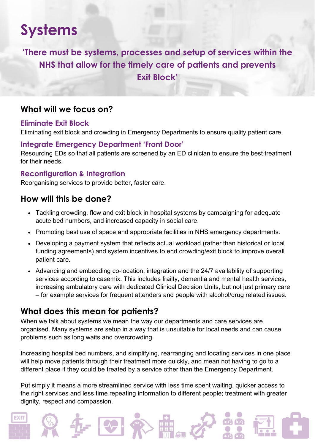# **Systems**

**'There must be systems, processes and setup of services within the NHS that allow for the timely care of patients and prevents Exit Block'**

### **What will we focus on?**

#### **Eliminate Exit Block**

Eliminating exit block and crowding in Emergency Departments to ensure quality patient care.

### **Integrate Emergency Department 'Front Door'**

Resourcing EDs so that all patients are screened by an ED clinician to ensure the best treatment for their needs.

### **Reconfiguration & Integration**

Reorganising services to provide better, faster care.

### **How will this be done?**

EXIT

- Tackling crowding, flow and exit block in hospital systems by campaigning for adequate acute bed numbers, and increased capacity in social care.
- Promoting best use of space and appropriate facilities in NHS emergency departments.
- Developing a payment system that reflects actual workload (rather than historical or local funding agreements) and system incentives to end crowding/exit block to improve overall patient care.
- Advancing and embedding co-location, integration and the 24/7 availability of supporting services according to casemix. This includes frailty, dementia and mental health services, increasing ambulatory care with dedicated Clinical Decision Units, but not just primary care – for example services for frequent attenders and people with alcohol/drug related issues.

# **What does this mean for patients?**

When we talk about systems we mean the way our departments and care services are organised. Many systems are setup in a way that is unsuitable for local needs and can cause problems such as long waits and overcrowding.

Increasing hospital bed numbers, and simplifying, rearranging and locating services in one place will help move patients through their treatment more quickly, and mean not having to go to a different place if they could be treated by a service other than the Emergency Department.

Put simply it means a more streamlined service with less time spent waiting, quicker access to the right services and less time repeating information to different people; treatment with greater dignity, respect and compassion.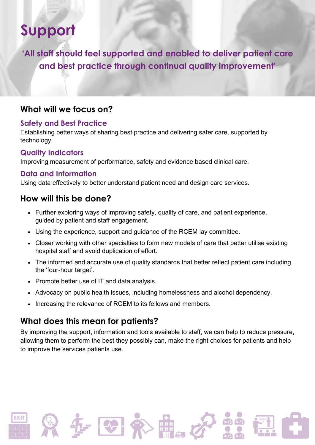# **Support**

**'All staff should feel supported and enabled to deliver patient care and best practice through continual quality improvement'**

# **What will we focus on?**

### **Safety and Best Practice**

Establishing better ways of sharing best practice and delivering safer care, supported by technology.

### **Quality Indicators**

Improving measurement of performance, safety and evidence based clinical care.

### **Data and Information**

Using data effectively to better understand patient need and design care services.

# **How will this be done?**

- Further exploring ways of improving safety, quality of care, and patient experience, guided by patient and staff engagement.
- Using the experience, support and guidance of the RCEM lay committee.
- Closer working with other specialties to form new models of care that better utilise existing hospital staff and avoid duplication of effort.
- The informed and accurate use of quality standards that better reflect patient care including the 'four-hour target'.
- Promote better use of IT and data analysis.
- Advocacy on public health issues, including homelessness and alcohol dependency.
- Increasing the relevance of RCEM to its fellows and members.

# **What does this mean for patients?**

By improving the support, information and tools available to staff, we can help to reduce pressure, allowing them to perform the best they possibly can, make the right choices for patients and help to improve the services patients use.